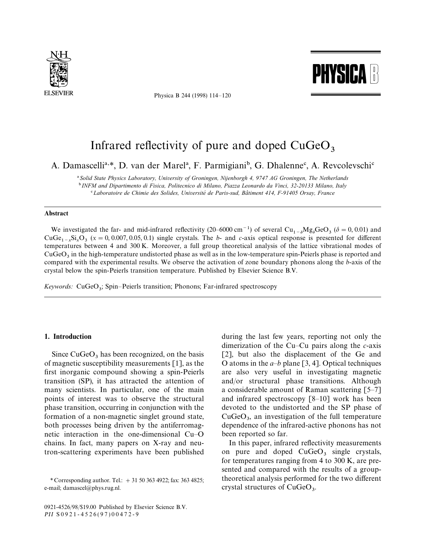

Physica B 244 (1998) 114*—*120



# Infrared reflectivity of pure and doped  $CuGeO<sub>3</sub>$

A. Damascelli<sup>a,\*</sup>, D. van der Marel<sup>a</sup>, F. Parmigiani<sup>b</sup>, G. Dhalenne<sup>c</sup>, A. Revcolevschi<sup>c</sup>

! *Solid State Physics Laboratory, University of Groningen, Nijenborgh 4, 9747 AG Groningen, The Netherlands* "*INFM and Dipartimento di Fisica, Politecnico di Milano, Piazza Leonardo da Vinci, 32-20133 Milano, Italy* # *Laboratoire de Chimie des Solides, Universite*& *de Paris-sud, Ba*L*timent 414, F-91405 Orsay, France*

#### Abstract

We investigated the far- and mid-infrared reflectivity (20–6000 cm<sup>-1</sup>) of several  $Cu_{1-\delta}Mg_{\delta}GeO_3$  ( $\delta = 0,0.01$ ) and<br>Co<sub>s</sub> Si Q<sub>1</sub> (*u* = 0,0007,005,01) single sputals. The h- and s gris ontical regnance is presented  $CuGe_{1-x}Si_xO_3$  ( $x = 0,0.007,0.05,0.1$ ) single crystals. The *b*- and *c*-axis optical response is presented for different temperatures between 4 and 300 K. Moreover, a full group theoretical analysis of the lattice vibrational modes of  $CuGeO<sub>3</sub>$  in the high-temperature undistorted phase as well as in the low-temperature spin-Peierls phase is reported and compared with the experimental results. We observe the activation of zone boundary phonons along the *b*-axis of the crystal below the spin-Peierls transition temperature. Published by Elsevier Science B.V.

*Keywords:* CuGeO<sup>3</sup> ; Spin*—*Peierls transition; Phonons; Far-infrared spectroscopy

### 1. Introduction

Since  $CuGeO<sub>3</sub>$  has been recognized, on the basis of magnetic susceptibility measurements [1], as the first inorganic compound showing a spin-Peierls transition (SP), it has attracted the attention of many scientists. In particular, one of the main points of interest was to observe the structural phase transition, occurring in conjunction with the formation of a non-magnetic singlet ground state, both processes being driven by the antiferromagnetic interaction in the one-dimensional Cu*—*O chains. In fact, many papers on X-ray and neutron-scattering experiments have been published

0921-4526/98/\$19.00 Published by Elsevier Science B.V. *PII* S0921-4526(97)00472-9

during the last few years, reporting not only the dimerization of the Cu*—*Cu pairs along the *c*-axis [2], but also the displacement of the Ge and O atoms in the  $a-b$  plane [3, 4]. Optical techniques are also very useful in investigating magnetic and/or structural phase transitions. Although a considerable amount of Raman scattering [5*—*7] and infrared spectroscopy [8*—*10] work has been devoted to the undistorted and the SP phase of  $CuGeO<sub>3</sub>$ , an investigation of the full temperature dependence of the infrared-active phonons has not been reported so far.

In this paper, infrared reflectivity measurements on pure and doped  $CuGeO<sub>3</sub>$  single crystals, for temperatures ranging from 4 to 300 K, are presented and compared with the results of a grouptheoretical analysis performed for the two different crystal structures of  $CuGeO<sub>3</sub>$ .

*<sup>\*</sup>* Corresponding author. Tel.: #31 50 363 4922; fax: 363 4825; e-mail; damascel@phys.rug.nl.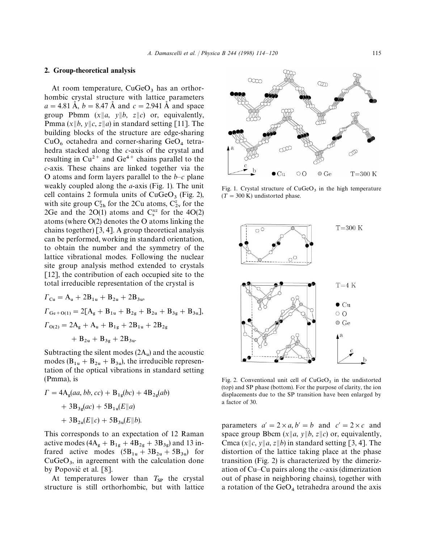#### 2. Group-theoretical analysis

At room temperature,  $CuGeO<sub>3</sub>$  has an orthorhombic crystal structure with lattice parameters  $a = 4.81 \text{ Å}, b = 8.47 \text{ Å}$  and  $c = 2.941 \text{ Å}$  and space group Pbmm  $(x||a, y||b, z||c)$  or, equivalently, Pmma  $(x||b, y||c, z||a)$  in standard setting [11]. The building blocks of the structure are edge-sharing  $CuO<sub>6</sub>$  octahedra and corner-sharing  $GeO<sub>4</sub>$  tetrahedra stacked along the *c*-axis of the crystal and resulting in  $Cu^{2+}$  and  $Ge^{4+}$  chains parallel to the *c*-axis. These chains are linked together via the O atoms and form layers parallel to the *b—c* plane weakly coupled along the *a*-axis (Fig. 1). The unit cell contains 2 formula units of  $CuGeO<sub>3</sub>$  (Fig. 2), with site group  $C_{2h}^y$  for the 2Cu atoms,  $C_{2v}^z$  for the 2Ge and the 2O(1) atoms and  $C_s^{xz}$  for the 4O(2) atoms (where O(2) denotes the O atoms linking the chains together) [3, 4]. A group theoretical analysis can be performed, working in standard orientation, to obtain the number and the symmetry of the lattice vibrational modes. Following the nuclear site group analysis method extended to crystals [12], the contribution of each occupied site to the total irreducible representation of the crystal is

$$
F_{Cu} = A_u + 2B_{1u} + B_{2u} + 2B_{3u},
$$
  
\n
$$
F_{Ge+O(1)} = 2[A_g + B_{1u} + B_{2g} + B_{2u} + B_{3g} + B_{3u}],
$$
  
\n
$$
F_{O(2)} = 2A_g + A_u + B_{1g} + 2B_{1u} + 2B_{2g} + B_{2u} + B_{3g} + 2B_{3u}.
$$

Subtracting the silent modes  $(2A<sub>u</sub>)$  and the acoustic modes  $(B_{1u} + B_{2u} + B_{3u})$ , the irreducible representation of the optical vibrations in standard setting (Pmma), is

$$
\Gamma = 4A_g(aa, bb, cc) + B_{1g}(bc) + 4B_{2g}(ab) + 3B_{3g}(ac) + 5B_{1u}(E||a) + 3B_{2u}(E||c) + 5B_{3u}(E||b).
$$

This corresponds to an expectation of 12 Raman active modes  $(4A_g + B_{1g} + 4B_{2g} + 3B_{3g})$  and 13 infrared active modes  $(5B_{1u} + 3B_{2u} + 5B_{3u})$  for  $CuGeO<sub>3</sub>$ , in agreement with the calculation done by Popović et al. [8].

At temperatures lower than  $T_{SP}$  the crystal structure is still orthorhombic, but with lattice



Fig. 1. Crystal structure of  $CuGeO<sub>3</sub>$  in the high temperature  $(T = 300 \text{ K})$  undistorted phase.



Fig. 2. Conventional unit cell of  $CuGeO<sub>3</sub>$  in the undistorted (top) and SP phase (bottom). For the purpose of clarity, the ion displacements due to the SP transition have been enlarged by a factor of 30.

parameters  $a' = 2 \times a$ ,  $b' = b$  and  $c' = 2 \times c$  and space group Bbcm  $(x||a, y||b, z||c)$  or, equivalently, Cmca  $(x||c, y||a, z||b)$  in standard setting [3, 4]. The distortion of the lattice taking place at the phase transition (Fig. 2) is characterized by the dimerization of Cu*—*Cu pairs along the *c*-axis (dimerization out of phase in neighboring chains), together with a rotation of the  $GeO<sub>4</sub>$  tetrahedra around the axis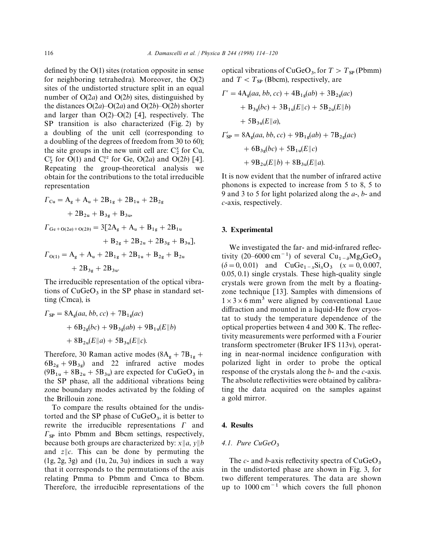defined by the O(1) sites (rotation opposite in sense for neighboring tetrahedra). Moreover, the O(2) sites of the undistorted structure split in an equal number of O(2*a*) and O(2*b*) sites, distinguished by the distances  $O(2a) - O(2a)$  and  $O(2b) - O(2b)$  shorter and larger than O(2)*—*O(2) [4], respectively. The SP transition is also characterized (Fig. 2) by a doubling of the unit cell (corresponding to a doubling of the degrees of freedom from 30 to 60); the site groups in the new unit cell are:  $C_2^x$  for  $Cu$ ,<br> $C_2^x$ ,  $C_3^x$ ,  $C_4^x$ ,  $C_5^x$ ,  $C_6^x$ ,  $C_7^x$ ,  $C_8^x$ ,  $C_9^x$ ,  $C_9^x$ ,  $C_1^x$  $C_2^y$  for  $O(1)$  and  $C_s^{yz}$  for Ge,  $O(2a)$  and  $O(2b)$  [4]. Repeating the group-theoretical analysis we obtain for the contributions to the total irreducible representation

$$
F_{Cu} = A_g + A_u + 2B_{1g} + 2B_{1u} + 2B_{2g}
$$
  
+ 2B<sub>2u</sub> + B<sub>3g</sub> + B<sub>3u</sub>,  

$$
F_{Ge+O(2a)+O(2b)} = 3[2A_g + A_u + B_{1g} + 2B_{1u}
$$
  
+ B<sub>2g</sub> + 2B<sub>2u</sub> + 2B<sub>3g</sub> + B<sub>3u</sub>],  

$$
F_{O(1)} = A_g + A_u + 2B_{1g} + 2B_{1u} + B_{2g} + B_{2u}
$$
  
+ 2B<sub>3g</sub> + 2B<sub>3u</sub>.

The irreducible representation of the optical vibrations of  $CuGeO<sub>3</sub>$  in the SP phase in standard setting (Cmca), is

$$
\Gamma_{\rm SP} = 8A_{\rm g}(aa, bb, cc) + 7B_{1\rm g}(ac)
$$
  
+  $6B_{2\rm g}(bc) + 9B_{3\rm g}(ab) + 9B_{1\rm u}(E||b)$   
+  $8B_{2\rm u}(E||a) + 5B_{3\rm u}(E||c)$ .

Therefore, 30 Raman active modes  $(8A<sub>g</sub> + 7B<sub>1g</sub> +$  $6B_{2g} + 9B_{3g}$  and 22 infrared active modes  $(9B_{1u} + 8B_{2u} + 5B_{3u})$  are expected for CuGeO<sub>3</sub> in the SP phase, all the additional vibrations being zone boundary modes activated by the folding of the Brillouin zone.

To compare the results obtained for the undistorted and the SP phase of  $CuGeO<sub>3</sub>$ , it is better to rewrite the irreducible representations  $\Gamma$  and  $\Gamma_{SP}$  into Pbmm and Bbcm settings, respectively, because both groups are characterized by:  $x||a, y||b$ and  $z\|c$ . This can be done by permuting the  $(1g, 2g, 3g)$  and  $(1u, 2u, 3u)$  indices in such a way that it corresponds to the permutations of the axis relating Pmma to Pbmm and Cmca to Bbcm. Therefore, the irreducible representations of the optical vibrations of  $CuGeO<sub>3</sub>$ , for  $T > T_{SP}$  (Pbmm) and  $T < T_{SP}$  (Bbcm), respectively, are

$$
\Gamma' = 4A_g(aa, bb, cc) + 4B_{1g}(ab) + 3B_{2g}(ac)
$$
  
+ B<sub>3g</sub>(bc) + 3B<sub>1u</sub>(E||c) + 5B<sub>2u</sub>(E||b)  
+ 5B<sub>3u</sub>(E||a),  

$$
\Gamma'_{SP} = 8A_g(aa, bb, cc) + 9B_{1g}(ab) + 7B_{2g}(ac)
$$
  
+ 6B<sub>3g</sub>(bc) + 5B<sub>1u</sub>(E||c)  
+ 9B<sub>2u</sub>(E||b) + 8B<sub>3u</sub>(E||a).

It is now evident that the number of infrared active phonons is expected to increase from 5 to 8, 5 to 9 and 3 to 5 for light polarized along the *a*-, *b*- and *c*-axis, respectively.

#### 3. Experimental

We investigated the far- and mid-infrared reflectivity (20–6000 cm<sup>-1</sup>) of several  $Cu_{1-\delta}Mg_{\delta}$ <br>(5, 0, 0,01), and CyCa, Si Q, (*x*) tivity (20–6000 cm<sup>-1</sup>) of several Cu<sub>1-8</sub>Mg<sub>8</sub>GeO<sub>3</sub><br>
( $\delta = 0, 0.01$ ) and CuGe<sub>1-x</sub>Si<sub>x</sub>O<sub>3</sub> (x = 0, 0.007, 0.05, 0.1) single crystals. These high-quality single crystals were grown from the melt by a floatingzone technique [13]. Samples with dimensions of  $1 \times 3 \times 6$  mm<sup>3</sup> were aligned by conventional Laue diffraction and mounted in a liquid-He flow cryostat to study the temperature dependence of the optical properties between 4 and 300 K. The reflectivity measurements were performed with a Fourier transform spectrometer (Bruker IFS 113v), operating in near-normal incidence configuration with polarized light in order to probe the optical response of the crystals along the *b*- and the *c*-axis. The absolute reflectivities were obtained by calibrating the data acquired on the samples against a gold mirror.

### 4. Results

## 4.1. Pure CuGeO<sub>3</sub>

The *c*- and *b*-axis reflectivity spectra of  $CuGeO<sub>3</sub>$  in the undistorted phase are shown in Fig. 3, for two different temperatures. The data are shown up to  $1000 \text{ cm}^{-1}$  which covers the full phonon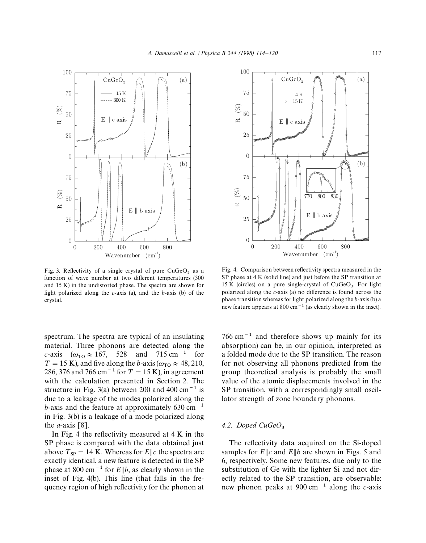Fig. 3. Reflectivity of a single crystal of pure  $CuGeO<sub>3</sub>$  as a function of wave number at two different temperatures (300 and 15 K) in the undistorted phase. The spectra are shown for light polarized along the *c*-axis (a), and the *b*-axis (b) of the crystal.

spectrum. The spectra are typical of an insulating material. Three phonons are detected along the *c*-axis ( $\omega_{\text{TO}} \approx 167$ , 528 and 715 cm<sup>-1</sup> for  $T = 15$  K), and five along the *b*-axis ( $\omega_{\text{TO}} \approx 48, 210$ , 286, 376 and 766 cm<sup>-1</sup> for  $T = 15$  K), in agreement with the calculation presented in Section 2. The structure in Fig. 3(a) between 200 and 400 cm<sup> $-1$ </sup> is due to a leakage of the modes polarized along the *b*-axis and the feature at approximately  $630 \text{ cm}^{-1}$ in Fig. 3(b) is a leakage of a mode polarized along the *a*-axis [8].

In Fig. 4 the reflectivity measured at  $4 K$  in the SP phase is compared with the data obtained just above  $T_{SP} = 14$  K. Whereas for  $E||c$  the spectra are exactly identical, a new feature is detected in the SP phase at 800 cm<sup> $-1$ </sup> for  $E||b$ , as clearly shown in the inset of Fig. 4(b). This line (that falls in the frequency region of high reflectivity for the phonon at

Fig. 4. Comparison between reflectivity spectra measured in the SP phase at 4 K (solid line) and just before the SP transition at 15 K (circles) on a pure single-crystal of  $CuGeO<sub>3</sub>$ . For light polarized along the *c*-axis (a) no difference is found across the phase transition whereas for light polarized along the *b*-axis (b) a new feature appears at 800 cm<sup> $-1$ </sup> (as clearly shown in the inset).

 $766 \text{ cm}^{-1}$  and therefore shows up mainly for its absorption) can be, in our opinion, interpreted as a folded mode due to the SP transition. The reason for not observing all phonons predicted from the group theoretical analysis is probably the small value of the atomic displacements involved in the SP transition, with a correspondingly small oscillator strength of zone boundary phonons.

# *4.2. Doped CuGeO*<sup>3</sup>

The reflectivity data acquired on the Si-doped samples for  $E||c$  and  $E||b$  are shown in Figs. 5 and 6, respectively. Some new features, due only to the substitution of Ge with the lighter Si and not directly related to the SP transition, are observable: new phonon peaks at  $900 \text{ cm}^{-1}$  along the *c*-axis



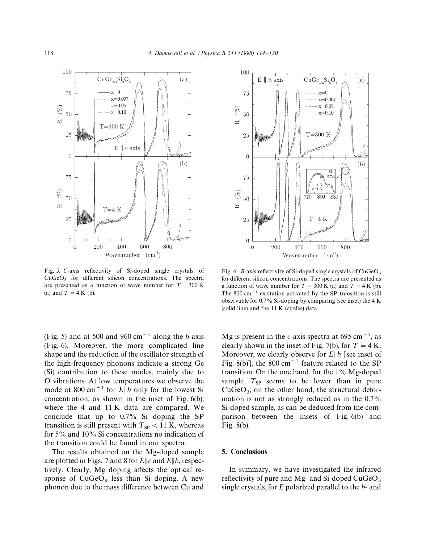

Fig. 5. *C*-axis reflectivity of Si-doped single crystals of  $CuGeO<sub>3</sub>$  for different silicon concentrations. The spectra are presented as a function of wave number for  $T = 300 \text{ K}$ (a) and  $T = 4$  K (b).

(Fig. 5) and at 500 and 960 cm<sup> $-1$ </sup> along the *b*-axis (Fig. 6). Moreover, the more complicated line shape and the reduction of the oscillator strength of the high-frequency phonons indicate a strong Ge (Si) contribution to these modes, mainly due to O vibrations. At low temperatures we observe the mode at 800 cm<sup> $-1$ </sup> for *E*||b only for the lowest Si concentration, as shown in the inset of Fig. 6(b), where the 4 and 11 K data are compared. We conclude that up to 0.7% Si doping the SP transition is still present with  $T_{SP}$  < 11 K, whereas for 5% and 10% Si concentrations no indication of the transition could be found in our spectra.

The results obtained on the Mg-doped sample are plotted in Figs. 7 and 8 for  $E||c$  and  $E||b$ , respectively. Clearly, Mg doping affects the optical response of  $CuGeO<sub>3</sub>$  less than Si doping. A new phonon due to the mass difference between Cu and



Fig. 6. *B*-axis reflectivity of Si-doped single crystals of CuGeO<sub>3</sub> for different silicon concentrations. The spectra are presented as a function of wave number for  $T = 300$  K (a) and  $T = 4$  K (b). The  $800 \text{ cm}^{-1}$  excitation activated by the SP transition is still observable for 0.7% Si-doping by comparing (see inset) the 4 K (solid line) and the 11 K (circles) data.

Mg is present in the *c*-axis spectra at  $695 \text{ cm}^{-1}$ , as clearly shown in the inset of Fig. 7(b), for  $T = 4$  K. Moreover, we clearly observe for  $E||b|$  [see inset of Fig. 8(b)], the 800 cm<sup> $-1$ </sup> feature related to the SP transition. On the one hand, for the 1% Mg-doped sample,  $T_{SP}$  seems to be lower than in pure  $CuGeO<sub>3</sub>$ ; on the other hand, the structural deformation is not as strongly reduced as in the 0.7% Si-doped sample, as can be deduced from the comparison between the insets of Fig. 6(b) and Fig. 8(b).

# 5. Conclusions

In summary, we have investigated the infrared reflectivity of pure and Mg- and Si-doped CuGeO<sub>3</sub> single crystals, for *E* polarized parallel to the *b*- and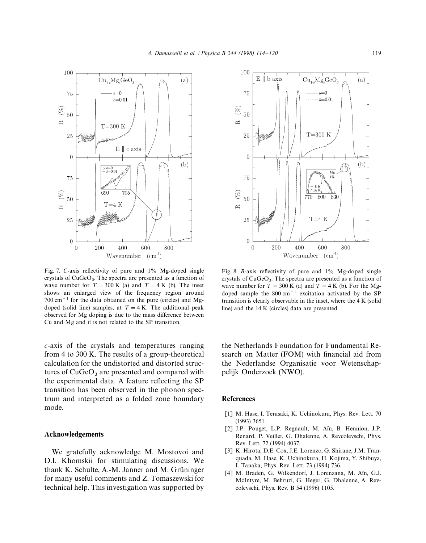

Fig. 7. *C*-axis reflectivity of pure and 1% Mg-doped single crystals of CuGeO<sub>3</sub>. The spectra are presented as a function of wave number for  $T = 300 \text{ K}$  (a) and  $T = 4 \text{ K}$  (b). The inset shows an enlarged view of the frequency region around  $700 \text{ cm}^{-1}$  for the data obtained on the pure (circles) and Mgdoped (solid line) samples, at  $T = 4$  K. The additional peak observed for Mg doping is due to the mass difference between Cu and Mg and it is not related to the SP transition.

*c*-axis of the crystals and temperatures ranging from 4 to 300 K. The results of a group-theoretical calculation for the undistorted and distorted structures of  $CuGeO<sub>3</sub>$  are presented and compared with the experimental data. A feature reflecting the SP transition has been observed in the phonon spectrum and interpreted as a folded zone boundary mode.

## Acknowledgements

We gratefully acknowledge M. Mostovoi and D.I. Khomskii for stimulating discussions. We thank K. Schulte, A.-M. Janner and M. Grüninger for many useful comments and Z. Tomaszewski for technical help. This investigation was supported by



Fig. 8. *B*-axis reflectivity of pure and 1% Mg-doped single crystals of  $CuGeO<sub>3</sub>$ . The spectra are presented as a function of wave number for  $T = 300$  K (a) and  $T = 4$  K (b). For the Mgdoped sample the  $800 \text{ cm}^{-1}$  excitation activated by the SP transition is clearly observable in the inset, where the 4 K (solid line) and the 14 K (circles) data are presented.

the Netherlands Foundation for Fundamental Research on Matter (FOM) with financial aid from the Nederlandse Organisatie voor Wetenschappelijk Onderzoek (NWO).

#### References

- [1] M. Hase, I. Terasaki, K. Uchinokura, Phys. Rev. Lett. 70 (1993) 3651.
- [2] J.P. Pouget, L.P. Regnault, M. Aïn, B. Hennion, J.P. Renard, P. Veillet, G. Dhalenne, A. Revcolevschi, Phys. Rev. Lett. 72 (1994) 4037.
- [3] K. Hirota, D.E. Cox, J.E. Lorenzo, G. Shirane, J.M. Tranquada, M. Hase, K. Uchinokura, H. Kojima, Y. Shibuya, I. Tanaka, Phys. Rev. Lett. 73 (1994) 736.
- [4] M. Braden, G. Wilkendorf, J. Lorenzana, M. Aïn, G.J. McIntyre, M. Behruzi, G. Heger, G. Dhalenne, A. Revcolevschi, Phys. Rev. B 54 (1996) 1105.